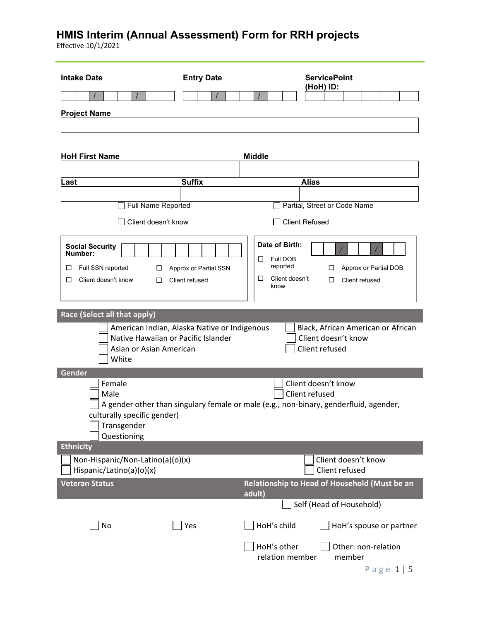| <b>Intake Date</b>                                                                                                      | <b>Entry Date</b>                       | <b>ServicePoint</b><br>(HoH) ID:                                                                                                |
|-------------------------------------------------------------------------------------------------------------------------|-----------------------------------------|---------------------------------------------------------------------------------------------------------------------------------|
|                                                                                                                         |                                         |                                                                                                                                 |
| <b>Project Name</b>                                                                                                     |                                         |                                                                                                                                 |
|                                                                                                                         |                                         |                                                                                                                                 |
|                                                                                                                         |                                         |                                                                                                                                 |
| <b>HoH First Name</b>                                                                                                   |                                         | <b>Middle</b>                                                                                                                   |
| .ast                                                                                                                    | <b>Suffix</b>                           | <b>Alias</b>                                                                                                                    |
|                                                                                                                         |                                         |                                                                                                                                 |
| Full Name Reported                                                                                                      |                                         | Partial, Street or Code Name                                                                                                    |
| Client doesn't know                                                                                                     |                                         | $\Box$ Client Refused                                                                                                           |
| <b>Social Security</b><br>Number:<br>Full SSN reported<br>□<br>$\Box$<br>Client doesn't know<br>□<br>□                  | Approx or Partial SSN<br>Client refused | Date of Birth:<br>Full DOB<br>□<br>reported<br>Approx or Partial DOB<br>□<br>Client doesn't<br>□<br>Client refused<br>□<br>know |
| American Indian, Alaska Native or Indigenous<br>Native Hawaiian or Pacific Islander<br>Asian or Asian American<br>White |                                         | Black, African American or African<br>Client doesn't know<br>Client refused                                                     |
| Gender<br>Female<br>Male<br>culturally specific gender)<br>Transgender<br>Questioning                                   |                                         | Client doesn't know<br>Client refused<br>A gender other than singulary female or male (e.g., non-binary, genderfluid, agender,  |
| <b>Ethnicity</b>                                                                                                        |                                         |                                                                                                                                 |
| Non-Hispanic/Non-Latino(a)(o)(x)<br>Hispanic/Latino(a)(o)(x)                                                            |                                         | Client doesn't know<br>Client refused                                                                                           |
| <b>Veteran Status</b>                                                                                                   |                                         | Relationship to Head of Household (Must be an                                                                                   |
|                                                                                                                         |                                         | adult)<br>Self (Head of Household)                                                                                              |
| No                                                                                                                      | Yes                                     | HoH's child<br>HoH's spouse or partner                                                                                          |
|                                                                                                                         |                                         | HoH's other<br>Other: non-relation<br>relation member<br>member<br>Page 1   5                                                   |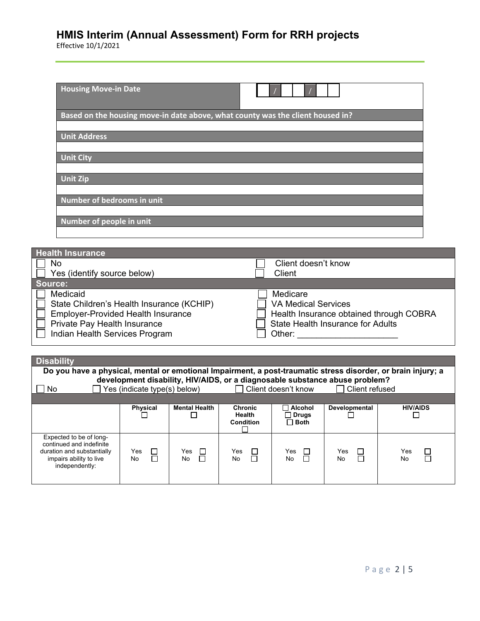| <b>Housing Move-in Date</b>          |                                                                                |
|--------------------------------------|--------------------------------------------------------------------------------|
|                                      | Based on the housing move-in date above, what county was the client housed in? |
| <b>Unit Address</b>                  |                                                                                |
| <b>Unit City</b>                     |                                                                                |
| <b>Unit Zip</b>                      |                                                                                |
| Number of bedrooms in unit           |                                                                                |
| Number of people in unit             |                                                                                |
|                                      |                                                                                |
| <b>Health Insurance</b><br><b>No</b> | Client doesn't know                                                            |

| IVU                                                                                                                                                                  | <u>UICHEUUCSH ENIUW</u>                                                                                                                 |
|----------------------------------------------------------------------------------------------------------------------------------------------------------------------|-----------------------------------------------------------------------------------------------------------------------------------------|
| Yes (identify source below)                                                                                                                                          | Client                                                                                                                                  |
| <b>Source:</b>                                                                                                                                                       |                                                                                                                                         |
| Medicaid<br>State Children's Health Insurance (KCHIP)<br><b>Employer-Provided Health Insurance</b><br>Private Pay Health Insurance<br>Indian Health Services Program | Medicare<br><b>VA Medical Services</b><br>Health Insurance obtained through COBRA<br><b>State Health Insurance for Adults</b><br>Other: |
|                                                                                                                                                                      |                                                                                                                                         |

| <b>Disability</b>                                                                                                              |                                     |                          |                                              |                                        |                                                                                                 |                 |
|--------------------------------------------------------------------------------------------------------------------------------|-------------------------------------|--------------------------|----------------------------------------------|----------------------------------------|-------------------------------------------------------------------------------------------------|-----------------|
| Do you have a physical, mental or emotional Impairment, a post-traumatic stress disorder, or brain injury; a                   |                                     |                          |                                              |                                        |                                                                                                 |                 |
| No.                                                                                                                            | $\Box$ Yes (indicate type(s) below) |                          |                                              | Client doesn't know                    | development disability, HIV/AIDS, or a diagnosable substance abuse problem?<br>l Client refused |                 |
|                                                                                                                                |                                     |                          |                                              |                                        |                                                                                                 |                 |
|                                                                                                                                | <b>Physical</b>                     | <b>Mental Health</b>     | <b>Chronic</b><br>Health<br><b>Condition</b> | Alcohol<br>$\Box$ Drugs<br>$\Box$ Both | Developmental                                                                                   | <b>HIV/AIDS</b> |
| Expected to be of long-<br>continued and indefinite<br>duration and substantially<br>impairs ability to live<br>independently: | Yes<br>No                           | Yes<br>$\Box$<br>П<br>No | Yes<br>$\Box$<br>No                          | Yes<br>$\Box$<br>$\Box$<br><b>No</b>   | Yes<br>⊔<br>┓<br>No                                                                             | Yes.<br>No      |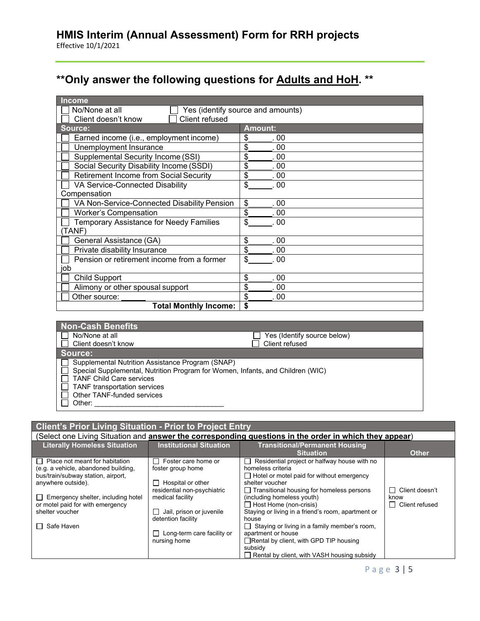# **\*\*Only answer the following questions for Adults and HoH. \*\***

| <b>Income</b>                                  |                                   |
|------------------------------------------------|-----------------------------------|
| No/None at all                                 | Yes (identify source and amounts) |
| Client refused<br>Client doesn't know          |                                   |
| Source:                                        | <b>Amount:</b>                    |
| Earned income (i.e., employment income)        | \$<br>. 00                        |
| Unemployment Insurance                         | \$<br>. 00                        |
| <b>Supplemental Security Income (SSI)</b>      | \$<br>. 00                        |
| Social Security Disability Income (SSDI)       | \$<br>. 00                        |
| Retirement Income from Social Security         | \$<br>. 00                        |
| VA Service-Connected Disability                | \$<br>.00                         |
| Compensation                                   |                                   |
| VA Non-Service-Connected Disability Pension    | \$<br>.00                         |
| <b>Worker's Compensation</b>                   | \$<br>. 00                        |
| <b>Temporary Assistance for Needy Families</b> | \$<br>.00                         |
| TANF)                                          |                                   |
| General Assistance (GA)                        | \$<br>00                          |
| Private disability Insurance                   | \$<br>00                          |
| Pension or retirement income from a former     | \$<br>00                          |
| job                                            |                                   |
| <b>Child Support</b>                           | \$<br>. 00                        |
| Alimony or other spousal support               | \$<br>. 00                        |
| Other source:                                  | \$<br>$.00 \,$                    |
| <b>Total Monthly Income:</b>                   | \$                                |
|                                                |                                   |

| <b>Non-Cash Benefits</b>                                                                                                                                                                                                                   |                             |
|--------------------------------------------------------------------------------------------------------------------------------------------------------------------------------------------------------------------------------------------|-----------------------------|
| No/None at all                                                                                                                                                                                                                             | Yes (Identify source below) |
| Client doesn't know                                                                                                                                                                                                                        | Client refused              |
| Source:                                                                                                                                                                                                                                    |                             |
| Supplemental Nutrition Assistance Program (SNAP)<br>Special Supplemental, Nutrition Program for Women, Infants, and Children (WIC)<br><b>TANF Child Care services</b><br><b>TANF</b> transportation services<br>Other TANF-funded services |                             |
| Other:                                                                                                                                                                                                                                     |                             |

#### **Client's Prior Living Situation - Prior to Project Entry**

| (Select one Living Situation and answer the corresponding questions in the order in which they appear) |                                   |                                                              |                      |
|--------------------------------------------------------------------------------------------------------|-----------------------------------|--------------------------------------------------------------|----------------------|
| <b>Literally Homeless Situation</b>                                                                    | <b>Institutional Situation</b>    | <b>Transitional/Permanent Housing</b>                        |                      |
|                                                                                                        |                                   | <b>Situation</b>                                             | <b>Other</b>         |
| $\Box$ Place not meant for habitation                                                                  | Foster care home or               | Residential project or halfway house with no<br>$\mathsf{L}$ |                      |
| (e.g. a vehicle, abandoned building,                                                                   | foster group home                 | homeless criteria                                            |                      |
| bus/train/subway station, airport,                                                                     |                                   | $\Box$ Hotel or motel paid for without emergency             |                      |
| anywhere outside).                                                                                     | Hospital or other                 | shelter voucher                                              |                      |
|                                                                                                        | residential non-psychiatric       | $\Box$ Transitional housing for homeless persons             | Client doesn't<br>ΙI |
| $\Box$ Emergency shelter, including hotel                                                              | medical facility                  | (including homeless youth)                                   | know                 |
| or motel paid for with emergency                                                                       |                                   | $\Box$ Host Home (non-crisis)                                | П<br>Client refused  |
| shelter voucher                                                                                        | Jail, prison or juvenile          | Staying or living in a friend's room, apartment or           |                      |
|                                                                                                        | detention facility                | house                                                        |                      |
| Safe Haven<br>П                                                                                        |                                   | $\Box$ Staying or living in a family member's room,          |                      |
|                                                                                                        | $\Box$ Long-term care facility or | apartment or house                                           |                      |
|                                                                                                        | nursing home                      | □ Rental by client, with GPD TIP housing                     |                      |
|                                                                                                        |                                   | subsidy                                                      |                      |
|                                                                                                        |                                   | □ Rental by client, with VASH housing subsidy                |                      |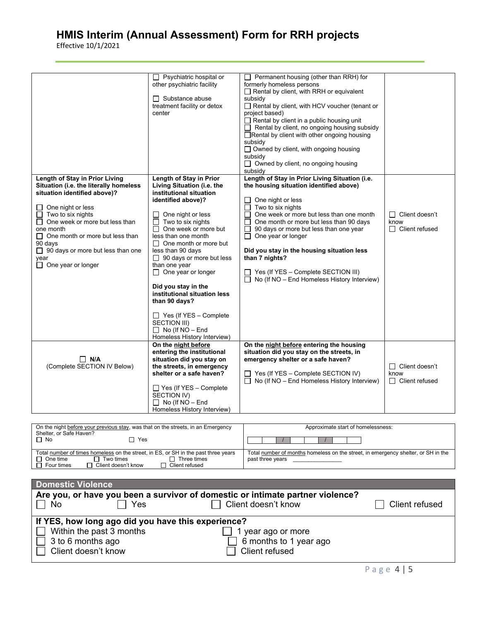|                                                                                                                                                                                                                                                                                                                                         | Psychiatric hospital or<br>other psychiatric facility<br>$\Box$ Substance abuse<br>treatment facility or detox<br>center                                                                                                                                                                                                                                                                                                                                                                                                      | $\Box$ Permanent housing (other than RRH) for<br>formerly homeless persons<br>$\Box$ Rental by client, with RRH or equivalent<br>subsidy<br>Rental by client, with HCV voucher (tenant or<br>project based)<br>$\Box$ Rental by client in a public housing unit<br>$\Box$ Rental by client, no ongoing housing subsidy<br>□Rental by client with other ongoing housing<br>subsidy<br>$\Box$ Owned by client, with ongoing housing<br>subsidy<br>$\Box$ Owned by client, no ongoing housing<br>subsidy |                                                        |
|-----------------------------------------------------------------------------------------------------------------------------------------------------------------------------------------------------------------------------------------------------------------------------------------------------------------------------------------|-------------------------------------------------------------------------------------------------------------------------------------------------------------------------------------------------------------------------------------------------------------------------------------------------------------------------------------------------------------------------------------------------------------------------------------------------------------------------------------------------------------------------------|-------------------------------------------------------------------------------------------------------------------------------------------------------------------------------------------------------------------------------------------------------------------------------------------------------------------------------------------------------------------------------------------------------------------------------------------------------------------------------------------------------|--------------------------------------------------------|
| Length of Stay in Prior Living<br>Situation (i.e. the literally homeless<br>situation identified above)?<br>One night or less<br>Two to six nights<br>One week or more but less than<br>one month<br>$\Box$ One month or more but less than<br>90 days<br>$\Box$ 90 days or more but less than one<br>year<br>$\Box$ One year or longer | Length of Stay in Prior<br>Living Situation (i.e. the<br>institutional situation<br>identified above)?<br>One night or less<br>Two to six nights<br>One week or more but<br>П.<br>less than one month<br>$\Box$ One month or more but<br>less than 90 days<br>$\Box$ 90 days or more but less<br>than one year<br>$\Box$ One year or longer<br>Did you stay in the<br>institutional situation less<br>than 90 days?<br>$\Box$ Yes (If YES – Complete<br>SECTION III)<br>$\Box$ No (If NO – End<br>Homeless History Interview) | Length of Stay in Prior Living Situation (i.e.<br>the housing situation identified above)<br>One night or less<br>$\Box$ Two to six nights<br>One week or more but less than one month<br>One month or more but less than 90 days<br>$\perp$<br>90 days or more but less than one year<br>П<br>$\Box$ One year or longer<br>Did you stay in the housing situation less<br>than 7 nights?<br>$\Box$ Yes (If YES – Complete SECTION III)<br>$\Box$ No (If NO – End Homeless History Interview)          | □ Client doesn't<br>know<br>$\Box$ Client refused      |
| $\Box$ N/A<br>(Complete SECTION IV Below)                                                                                                                                                                                                                                                                                               | On the night before<br>entering the institutional<br>situation did you stay on<br>the streets, in emergency<br>shelter or a safe haven?<br>$\Box$ Yes (If YES - Complete<br>SECTION IV)<br>$\Box$ No (If NO – End<br>Homeless History Interview)                                                                                                                                                                                                                                                                              | On the night before entering the housing<br>situation did you stay on the streets, in<br>emergency shelter or a safe haven?<br>$\Box$ Yes (If YES – Complete SECTION IV)<br>$\Box$ No (If NO – End Homeless History Interview)                                                                                                                                                                                                                                                                        | $\Box$ Client doesn't<br>know<br>$\Box$ Client refused |

| On the night before your previous stay, was that on the streets, in an Emergency   | Approximate start of homelessness:                                                |
|------------------------------------------------------------------------------------|-----------------------------------------------------------------------------------|
| Shelter, or Safe Haven?                                                            |                                                                                   |
| ∩ No<br>7 Yes                                                                      |                                                                                   |
|                                                                                    |                                                                                   |
| Total number of times homeless on the street, in ES, or SH in the past three years | Total number of months homeless on the street, in emergency shelter, or SH in the |
| $\Box$ One time<br>Three times<br>Two times                                        | past three years                                                                  |
| Client doesn't know<br>$\Box$ Client refused<br>Four times                         |                                                                                   |

| <b>Domestic Violence</b>                           |                                                                                |                   |
|----------------------------------------------------|--------------------------------------------------------------------------------|-------------------|
|                                                    | Are you, or have you been a survivor of domestic or intimate partner violence? |                   |
| Yes<br>$\Box$ No                                   | Client doesn't know                                                            | Client refused    |
| If YES, how long ago did you have this experience? |                                                                                |                   |
| Within the past 3 months                           | year ago or more                                                               |                   |
| 3 to 6 months ago                                  | 6 months to 1 year ago                                                         |                   |
| Client doesn't know                                | Client refused                                                                 |                   |
|                                                    |                                                                                | $P = \frac{1}{2}$ |